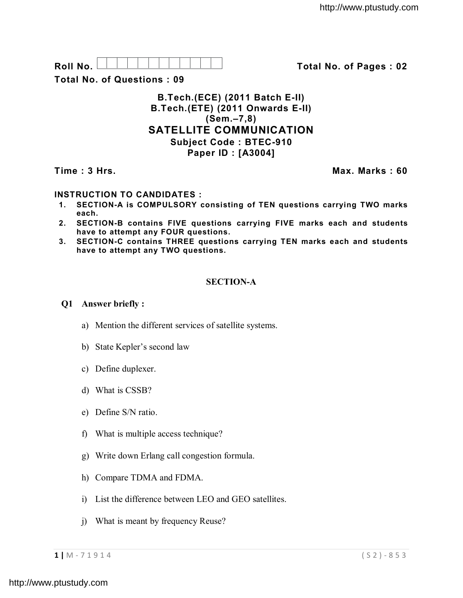| в<br>۰<br>. .<br>- - -<br>- |  |  |  |  |  |  |
|-----------------------------|--|--|--|--|--|--|

**Roll No. Total No. of Pages : 02**

**Total No. of Questions : 09**

# **B.Tech.(ECE) (2011 Batch E-II) B.Tech.(ETE) (2011 Onwards E-II) (Sem.–7,8) SATELLITE COMMUNICATION Subject Code : BTEC-910 Paper ID : [A3004]**

**Time : 3 Hrs.** Max. Marks : 60

## **INSTRUCTION TO CANDIDATES :**

- **1. SECTION-A is COMPULSORY consisting of TEN questions carrying TWO marks each.**
- **2. SECTION-B contains FIVE questions carrying FIVE marks each and students have to attempt any FOUR questions.**
- **3. SECTION-C contains THREE questions carrying TEN marks each and students have to attempt any TWO questions.**

## **SECTION-A**

#### **Q1 Answer briefly :**

- a) Mention the different services of satellite systems.
- b) State Kepler's second law
- c) Define duplexer.
- d) What is CSSB?
- e) Define S/N ratio.
- f) What is multiple access technique?
- g) Write down Erlang call congestion formula.
- h) Compare TDMA and FDMA.
- i) List the difference between LEO and GEO satellites.
- j) What is meant by frequency Reuse?

**1 |** M - 7 1 9 1 4 ( S 2 ) - 8 5 3